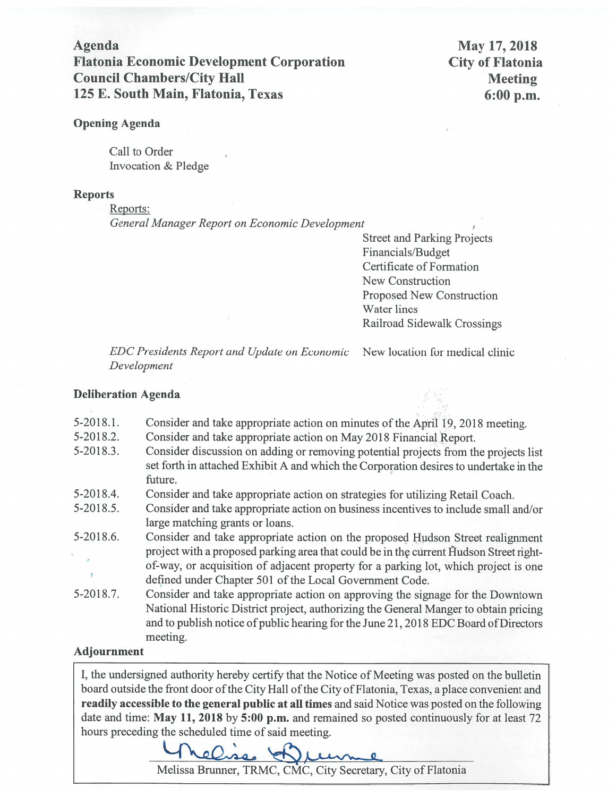**Agenda Flatonia Economic Development Corporation Council Chambers/City Hall** 125 E. South Main, Flatonia, Texas

May 17, 2018 **City of Flatonia Meeting**  $6:00 p.m.$ 

# **Opening Agenda**

Call to Order Invocation & Pledge

# **Reports**

Reports:

General Manager Report on Economic Development

**Street and Parking Projects** Financials/Budget **Certificate of Formation** New Construction Proposed New Construction Water lines Railroad Sidewalk Crossings

**EDC Presidents Report and Update on Economic** Development

# New location for medical clinic

## **Deliberation Agenda**

- $5-2018.1$ . Consider and take appropriate action on minutes of the April 19, 2018 meeting.
- 5-2018.2. Consider and take appropriate action on May 2018 Financial Report.
- $5 2018.3$ . Consider discussion on adding or removing potential projects from the projects list set forth in attached Exhibit A and which the Corporation desires to undertake in the future.
- 5-2018.4. Consider and take appropriate action on strategies for utilizing Retail Coach.
- Consider and take appropriate action on business incentives to include small and/or  $5 - 2018.5$ . large matching grants or loans.
- Consider and take appropriate action on the proposed Hudson Street realignment 5-2018.6. project with a proposed parking area that could be in the current Hudson Street rightof-way, or acquisition of adjacent property for a parking lot, which project is one  $\mathbf{r}$ defined under Chapter 501 of the Local Government Code.
- $5 2018.7$ . Consider and take appropriate action on approving the signage for the Downtown National Historic District project, authorizing the General Manger to obtain pricing and to publish notice of public hearing for the June 21, 2018 EDC Board of Directors meeting.

# **Adjournment**

I, the undersigned authority hereby certify that the Notice of Meeting was posted on the bulletin board outside the front door of the City Hall of the City of Flatonia, Texas, a place convenient and readily accessible to the general public at all times and said Notice was posted on the following date and time: May 11, 2018 by 5:00 p.m. and remained so posted continuously for at least 72 hours preceding the scheduled time of said meeting.



Melissa Brunner, TRMC, CMC, City Secretary, City of Flatonia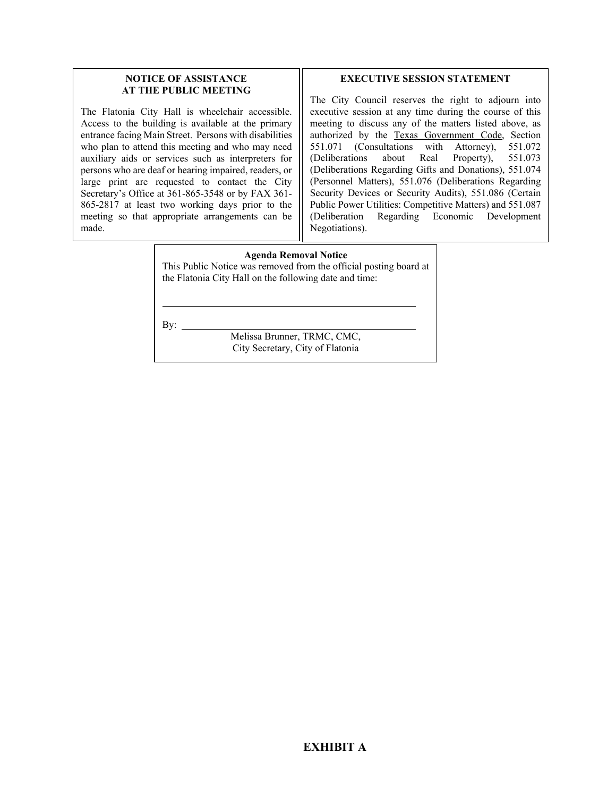### **NOTICE OF ASSISTANCE AT THE PUBLIC MEETING**

The Flatonia City Hall is wheelchair accessible. Access to the building is available at the primary entrance facing Main Street. Persons with disabilities who plan to attend this meeting and who may need auxiliary aids or services such as interpreters for persons who are deaf or hearing impaired, readers, or large print are requested to contact the City Secretary's Office at 361-865-3548 or by FAX 361- 865-2817 at least two working days prior to the meeting so that appropriate arrangements can be made.

#### **EXECUTIVE SESSION STATEMENT**

The City Council reserves the right to adjourn into executive session at any time during the course of this meeting to discuss any of the matters listed above, as authorized by the Texas Government Code, Section 551.071 (Consultations with Attorney), 551.072 (Deliberations about Real Property), 551.073 (Deliberations Regarding Gifts and Donations), 551.074 (Personnel Matters), 551.076 (Deliberations Regarding Security Devices or Security Audits), 551.086 (Certain Public Power Utilities: Competitive Matters) and 551.087 (Deliberation Regarding Economic Development Negotiations).

#### **Agenda Removal Notice**

This Public Notice was removed from the official posting board at the Flatonia City Hall on the following date and time:

By:  $\overline{\phantom{0}}$ 

l

Melissa Brunner, TRMC, CMC, City Secretary, City of Flatonia